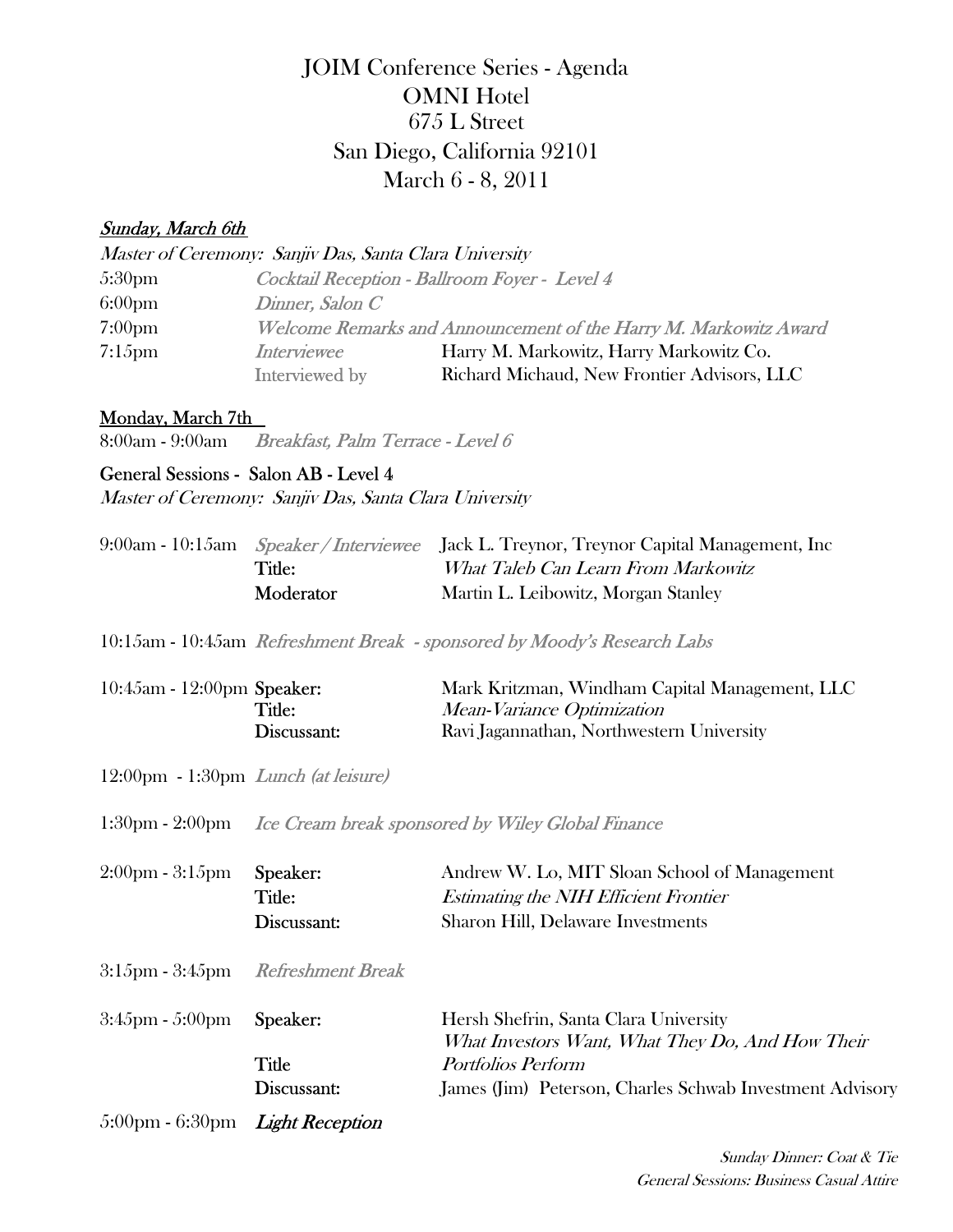# JOIM Conference Series - Agenda March 6 - 8, 2011 San Diego, California 92101 OMNI Hotel 675 L Street

## Sunday, March 6th

|                    | Master of Ceremony: Sanjiv Das, Santa Clara University |                                                                  |
|--------------------|--------------------------------------------------------|------------------------------------------------------------------|
| 5:30 <sub>pm</sub> |                                                        | Cocktail Reception - Ballroom Foyer - Level 4                    |
| 6:00 <sub>pm</sub> | Dinner, Salon C                                        |                                                                  |
| 7:00 <sub>pm</sub> |                                                        | Welcome Remarks and Announcement of the Harry M. Markowitz Award |
| $7:15$ pm          | <b>Interviewee</b>                                     | Harry M. Markowitz, Harry Markowitz Co.                          |
|                    | Interviewed by                                         | Richard Michaud, New Frontier Advisors, LLC                      |

#### Monday, March 7th

8:00am - 9:00am Breakfast, Palm Terrace - Level 6

## General Sessions - Salon AB - Level 4

Master of Ceremony: Sanjiv Das, Santa Clara University

|                  | 9:00am - 10:15am <i>Speaker / Interviewee</i> Jack L. Treynor, Treynor Capital Management, Inc |
|------------------|------------------------------------------------------------------------------------------------|
| Title:           | What Taleb Can Learn From Markowitz                                                            |
| <b>Moderator</b> | Martin L. Leibowitz, Morgan Stanley                                                            |

10:15am - 10:45am Refreshment Break - sponsored by Moody's Research Labs

| $10:45$ am - $12:00$ pm Speaker: | Mark Kritzman, Windham Capital Management, LLC |
|----------------------------------|------------------------------------------------|
| Title:                           | <i>Mean-Variance Optimization</i>              |
| Discussant:                      | Ravi Jagannathan, Northwestern University      |

12:00pm - 1:30pm Lunch (at leisure)

1:30pm - 2:00pm *Ice Cream break sponsored by Wiley Global Finance* 

| $2:00 \text{pm} - 3:15 \text{pm}$                        | Speaker:<br>Title:<br>Discussant: | Andrew W. Lo, MIT Sloan School of Management<br><i>Estimating the NIH Efficient Frontier</i><br><b>Sharon Hill, Delaware Investments</b> |
|----------------------------------------------------------|-----------------------------------|------------------------------------------------------------------------------------------------------------------------------------------|
| 3:15pm - 3:45pm                                          | Refreshment Break                 |                                                                                                                                          |
| 3:45pm - 5:00pm                                          | Speaker:                          | Hersh Shefrin, Santa Clara University<br>What Investors Want, What They Do, And How Their                                                |
|                                                          | Title                             | Portfolios Perform                                                                                                                       |
|                                                          | Discussant:                       | James (Jim) Peterson, Charles Schwab Investment Advisory                                                                                 |
| $5:00 \text{pm} - 6:30 \text{pm}$ <i>Light Reception</i> |                                   |                                                                                                                                          |

 Sunday Dinner: Coat & Tie General Sessions: Business Casual Attire